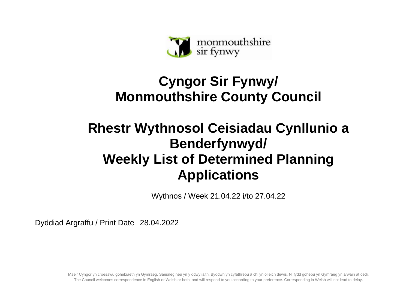

## **Cyngor Sir Fynwy/ Monmouthshire County Council**

## **Rhestr Wythnosol Ceisiadau Cynllunio a Benderfynwyd/ Weekly List of Determined Planning Applications**

Wythnos / Week 21.04.22 i/to 27.04.22

Dyddiad Argraffu / Print Date 28.04.2022

Mae'r Cyngor yn croesawu gohebiaeth yn Gymraeg, Saesneg neu yn y ddwy iaith. Byddwn yn cyfathrebu â chi yn ôl eich dewis. Ni fydd gohebu yn Gymraeg yn arwain at oedi. The Council welcomes correspondence in English or Welsh or both, and will respond to you according to your preference. Corresponding in Welsh will not lead to delay.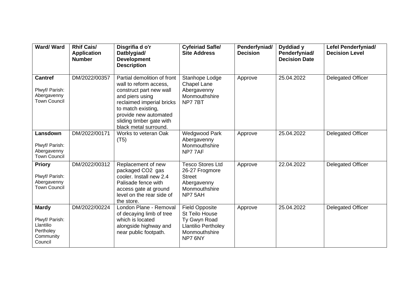| Ward/Ward                                                                        | <b>Rhif Cais/</b><br><b>Application</b><br><b>Number</b> | Disgrifia d o'r<br>Datblygiad/<br><b>Development</b><br><b>Description</b>                                                                                                                                                           | <b>Cyfeiriad Safle/</b><br><b>Site Address</b>                                                                           | Penderfyniad/<br><b>Decision</b> | Dyddiad y<br>Penderfyniad/<br><b>Decision Date</b> | Lefel Penderfyniad/<br><b>Decision Level</b> |
|----------------------------------------------------------------------------------|----------------------------------------------------------|--------------------------------------------------------------------------------------------------------------------------------------------------------------------------------------------------------------------------------------|--------------------------------------------------------------------------------------------------------------------------|----------------------------------|----------------------------------------------------|----------------------------------------------|
| <b>Cantref</b><br>Plwyf/ Parish:<br>Abergavenny<br><b>Town Council</b>           | DM/2022/00357                                            | Partial demolition of front<br>wall to reform access,<br>construct part new wall<br>and piers using<br>reclaimed imperial bricks<br>to match existing,<br>provide new automated<br>sliding timber gate with<br>black metal surround. | Stanhope Lodge<br><b>Chapel Lane</b><br>Abergavenny<br>Monmouthshire<br>NP77BT                                           | Approve                          | 25.04.2022                                         | <b>Delegated Officer</b>                     |
| Lansdown<br>Plwyf/ Parish:<br>Abergavenny<br><b>Town Council</b>                 | DM/2022/00171                                            | Works to veteran Oak<br>(T5)                                                                                                                                                                                                         | <b>Wedgwood Park</b><br>Abergavenny<br>Monmouthshire<br>NP77AF                                                           | Approve                          | 25.04.2022                                         | <b>Delegated Officer</b>                     |
| <b>Priory</b><br>Plwyf/ Parish:<br>Abergavenny<br><b>Town Council</b>            | DM/2022/00312                                            | Replacement of new<br>packaged CO2 gas<br>cooler. Install new 2.4<br>Palisade fence with<br>access gate at ground<br>level on the rear side of<br>the store.                                                                         | <b>Tesco Stores Ltd</b><br>26-27 Frogmore<br><b>Street</b><br>Abergavenny<br>Monmouthshire<br>NP7 5AH                    | Approve                          | 22.04.2022                                         | Delegated Officer                            |
| <b>Mardy</b><br>Plwyf/ Parish:<br>Llantilio<br>Pertholey<br>Community<br>Council | DM/2022/00224                                            | London Plane - Removal<br>of decaying limb of tree<br>which is located<br>alongside highway and<br>near public footpath.                                                                                                             | <b>Field Opposite</b><br><b>St Teilo House</b><br>Ty Gwyn Road<br><b>Llantilio Pertholey</b><br>Monmouthshire<br>NP7 6NY | Approve                          | 25.04.2022                                         | <b>Delegated Officer</b>                     |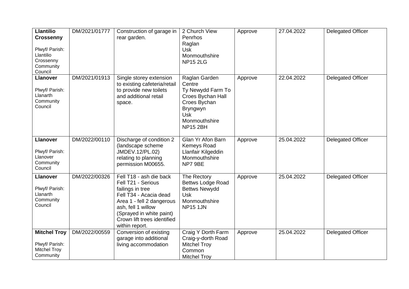| <b>Llantilio</b><br><b>Crossenny</b><br>Plwyf/ Parish:<br>Llantilio<br>Crossenny<br>Community<br>Council | DM/2021/01777 | Construction of garage in<br>rear garden.                                                                                                                                                                                   | 2 Church View<br>Penrhos<br>Raglan<br><b>Usk</b><br>Monmouthshire<br><b>NP15 2LG</b>                                                            | Approve | 27.04.2022 | <b>Delegated Officer</b> |
|----------------------------------------------------------------------------------------------------------|---------------|-----------------------------------------------------------------------------------------------------------------------------------------------------------------------------------------------------------------------------|-------------------------------------------------------------------------------------------------------------------------------------------------|---------|------------|--------------------------|
| <b>Llanover</b><br>Plwyf/ Parish:<br>Llanarth<br>Community<br>Council                                    | DM/2021/01913 | Single storey extension<br>to existing cafeteria/retail<br>to provide new toilets<br>and additional retail<br>space.                                                                                                        | Raglan Garden<br>Centre<br>Ty Newydd Farm To<br>Croes Bychan Hall<br>Croes Bychan<br>Bryngwyn<br><b>Usk</b><br>Monmouthshire<br><b>NP15 2BH</b> | Approve | 22.04.2022 | <b>Delegated Officer</b> |
| <b>Llanover</b><br>Plwyf/ Parish:<br>Llanover<br>Community<br>Council                                    | DM/2022/00110 | Discharge of condition 2<br>(landscape scheme<br>JMDEV.12/PL.02)<br>relating to planning<br>permission M00655.                                                                                                              | Glan Yr Afon Barn<br>Kemeys Road<br>Llanfair Kilgeddin<br>Monmouthshire<br>NP7 9BE                                                              | Approve | 25.04.2022 | <b>Delegated Officer</b> |
| <b>Llanover</b><br>Plwyf/ Parish:<br>Llanarth<br>Community<br>Council                                    | DM/2022/00326 | Fell T18 - ash die back<br>Fell T21 - Serious<br>failings in tree<br>Fell T34 - Acacia dead<br>Area 1 - fell 2 dangerous<br>ash, fell 1 willow<br>(Sprayed in white paint)<br>Crown lift trees identified<br>within report. | The Rectory<br><b>Bettws Lodge Road</b><br><b>Bettws Newydd</b><br>Usk<br>Monmouthshire<br><b>NP15 1JN</b>                                      | Approve | 25.04.2022 | <b>Delegated Officer</b> |
| <b>Mitchel Troy</b><br>Plwyf/ Parish:<br><b>Mitchel Troy</b><br>Community                                | DM/2022/00559 | Conversion of existing<br>garage into additional<br>living accommodation                                                                                                                                                    | Craig Y Dorth Farm<br>Craig-y-dorth Road<br><b>Mitchel Troy</b><br>Common<br><b>Mitchel Troy</b>                                                | Approve | 25.04.2022 | <b>Delegated Officer</b> |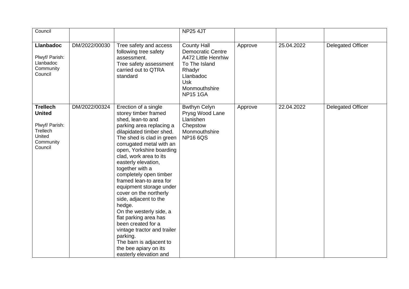| Council                                                                                          |               |                                                                                                                                                                                                                                                                                                                                                                                                                                                                                                                                                                                                                                    | <b>NP25 4JT</b>                                                                                                                                                 |         |            |                          |
|--------------------------------------------------------------------------------------------------|---------------|------------------------------------------------------------------------------------------------------------------------------------------------------------------------------------------------------------------------------------------------------------------------------------------------------------------------------------------------------------------------------------------------------------------------------------------------------------------------------------------------------------------------------------------------------------------------------------------------------------------------------------|-----------------------------------------------------------------------------------------------------------------------------------------------------------------|---------|------------|--------------------------|
|                                                                                                  |               |                                                                                                                                                                                                                                                                                                                                                                                                                                                                                                                                                                                                                                    |                                                                                                                                                                 |         |            |                          |
| <b>Llanbadoc</b><br>Plwyf/ Parish:<br>Llanbadoc<br>Community<br>Council                          | DM/2022/00030 | Tree safety and access<br>following tree safety<br>assessment.<br>Tree safety assessment<br>carried out to QTRA<br>standard                                                                                                                                                                                                                                                                                                                                                                                                                                                                                                        | <b>County Hall</b><br><b>Democratic Centre</b><br>A472 Little Henrhiw<br>To The Island<br>Rhadyr<br>Llanbadoc<br><b>Usk</b><br>Monmouthshire<br><b>NP15 1GA</b> | Approve | 25.04.2022 | <b>Delegated Officer</b> |
| <b>Trellech</b><br><b>United</b><br>Plwyf/ Parish:<br>Trellech<br>United<br>Community<br>Council | DM/2022/00324 | Erection of a single<br>storey timber framed<br>shed, lean-to and<br>parking area replacing a<br>dilapidated timber shed.<br>The shed is clad in green<br>corrugated metal with an<br>open, Yorkshire boarding<br>clad, work area to its<br>easterly elevation,<br>together with a<br>completely open timber<br>framed lean-to area for<br>equipment storage under<br>cover on the northerly<br>side, adjacent to the<br>hedge.<br>On the westerly side, a<br>flat parking area has<br>been created for a<br>vintage tractor and trailer<br>parking.<br>The barn is adjacent to<br>the bee apiary on its<br>easterly elevation and | <b>Bwthyn Celyn</b><br>Prysg Wood Lane<br>Llanishen<br>Chepstow<br>Monmouthshire<br><b>NP166QS</b>                                                              | Approve | 22.04.2022 | <b>Delegated Officer</b> |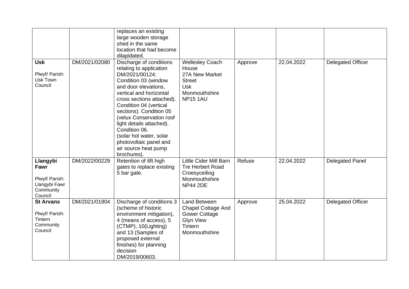|                                                                             |               | replaces an existing<br>large wooden storage<br>shed in the same<br>location that had become<br>dilapidated.                                                                                                                                                                                                                                                                                           |                                                                                                                   |         |            |                          |
|-----------------------------------------------------------------------------|---------------|--------------------------------------------------------------------------------------------------------------------------------------------------------------------------------------------------------------------------------------------------------------------------------------------------------------------------------------------------------------------------------------------------------|-------------------------------------------------------------------------------------------------------------------|---------|------------|--------------------------|
| <b>Usk</b><br>Plwyf/ Parish:<br>Usk Town<br>Council                         | DM/2021/02080 | Discharge of conditions<br>relating to application<br>DM/2021/00124;<br>Condition 03 (window<br>and door elevations,<br>vertical and horizontal<br>cross sections attached).<br>Condition 04 (vertical<br>sections). Condition 05<br>(velux Conservation roof<br>light details attached).<br>Condition 06.<br>(solar hot water, solar<br>photovoltaic panel and<br>air source heat pump<br>brochures). | <b>Wellesley Coach</b><br>House<br>27A New Market<br><b>Street</b><br>Usk<br>Monmouthshire<br><b>NP151AU</b>      | Approve | 22.04.2022 | <b>Delegated Officer</b> |
| Llangybi<br>Fawr<br>Plwyf/ Parish:<br>Llangybi Fawr<br>Community<br>Council | DM/2022/00229 | Retention of 6ft high<br>gates to replace existing<br>5 bar gate.                                                                                                                                                                                                                                                                                                                                      | <b>Little Cider Mill Barn</b><br><b>Tre Herbert Road</b><br>Croesyceiliog<br>Monmouthshire<br><b>NP44 2DE</b>     | Refuse  | 22.04.2022 | <b>Delegated Panel</b>   |
| <b>St Arvans</b><br>Plwyf/ Parish:<br>Tintern<br>Community<br>Council       | DM/2021/01904 | Discharge of conditions 3<br>(scheme of historic<br>environment mitigation),<br>4 (means of access), 5<br>(CTMP), 10(Lighting)<br>and 13 (Samples of<br>proposed external<br>finishes) for planning<br>decision<br>DM/2019/00603.                                                                                                                                                                      | Land Between<br><b>Chapel Cottage And</b><br><b>Gower Cottage</b><br><b>Glyn View</b><br>Tintern<br>Monmouthshire | Approve | 25.04.2022 | <b>Delegated Officer</b> |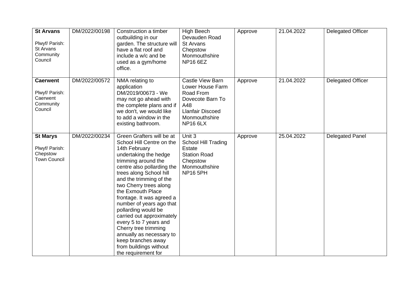| <b>St Arvans</b><br>Plwyf/ Parish:<br>St Arvans<br>Community<br>Council | DM/2022/00198 | Construction a timber<br>outbuilding in our<br>garden. The structure will<br>have a flat roof and<br>include a w/c and be<br>used as a gym/home<br>office.                                                                                                                                                                                                                                                                                                                                                                   | <b>High Beech</b><br>Devauden Road<br><b>St Arvans</b><br>Chepstow<br>Monmouthshire<br><b>NP16 6EZ</b>                                      | Approve | 21.04.2022 | <b>Delegated Officer</b> |
|-------------------------------------------------------------------------|---------------|------------------------------------------------------------------------------------------------------------------------------------------------------------------------------------------------------------------------------------------------------------------------------------------------------------------------------------------------------------------------------------------------------------------------------------------------------------------------------------------------------------------------------|---------------------------------------------------------------------------------------------------------------------------------------------|---------|------------|--------------------------|
| <b>Caerwent</b><br>Plwyf/ Parish:<br>Caerwent<br>Community<br>Council   | DM/2022/00572 | NMA relating to<br>application<br>DM/2019/00673 - We<br>may not go ahead with<br>the complete plans and if<br>we don't, we would like<br>to add a window in the<br>existing bathroom.                                                                                                                                                                                                                                                                                                                                        | Castle View Barn<br>Lower House Farm<br>Road From<br>Dovecote Barn To<br>A48<br><b>Llanfair Discoed</b><br>Monmouthshire<br><b>NP16 6LX</b> | Approve | 21.04.2022 | <b>Delegated Officer</b> |
| <b>St Marys</b><br>Plwyf/ Parish:<br>Chepstow<br><b>Town Council</b>    | DM/2022/00234 | Green Grafters will be at<br>School Hill Centre on the<br>14th February<br>undertaking the hedge<br>trimming around the<br>centre also pollarding the<br>trees along School hill<br>and the trimming of the<br>two Cherry trees along<br>the Exmouth Place<br>frontage. It was agreed a<br>number of years ago that<br>pollarding would be<br>carried out approximately<br>every 5 to 7 years and<br>Cherry tree trimming<br>annually as necessary to<br>keep branches away<br>from buildings without<br>the requirement for | Unit 3<br>School Hill Trading<br>Estate<br><b>Station Road</b><br>Chepstow<br>Monmouthshire<br><b>NP16 5PH</b>                              | Approve | 25.04.2022 | <b>Delegated Panel</b>   |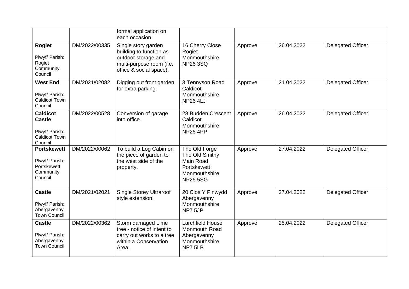|                                                                                       |               | formal application on<br>each occasion.                                                                                      |                                                                                                 |         |            |                          |
|---------------------------------------------------------------------------------------|---------------|------------------------------------------------------------------------------------------------------------------------------|-------------------------------------------------------------------------------------------------|---------|------------|--------------------------|
| <b>Rogiet</b><br>Plwyf/ Parish:<br>Rogiet<br>Community<br>Council                     | DM/2022/00335 | Single story garden<br>building to function as<br>outdoor storage and<br>multi-purpose room (i.e.<br>office & social space). | 16 Cherry Close<br>Rogiet<br>Monmouthshire<br><b>NP26 3SQ</b>                                   | Approve | 26.04.2022 | <b>Delegated Officer</b> |
| <b>West End</b><br>Plwyf/ Parish:<br><b>Caldicot Town</b><br>Council                  | DM/2021/02082 | Digging out front garden<br>for extra parking.                                                                               | 3 Tennyson Road<br>Caldicot<br>Monmouthshire<br><b>NP26 4LJ</b>                                 | Approve | 21.04.2022 | <b>Delegated Officer</b> |
| <b>Caldicot</b><br><b>Castle</b><br>Plwyf/ Parish:<br><b>Caldicot Town</b><br>Council | DM/2022/00528 | Conversion of garage<br>into office.                                                                                         | 28 Budden Crescent<br>Caldicot<br>Monmouthshire<br><b>NP26 4PP</b>                              | Approve | 26.04.2022 | <b>Delegated Officer</b> |
| <b>Portskewett</b><br>Plwyf/ Parish:<br>Portskewett<br>Community<br>Council           | DM/2022/00062 | To build a Log Cabin on<br>the piece of garden to<br>the west side of the<br>property.                                       | The Old Forge<br>The Old Smithy<br>Main Road<br>Portskewett<br>Monmouthshire<br><b>NP26 5SG</b> | Approve | 27.04.2022 | <b>Delegated Officer</b> |
| <b>Castle</b><br>Plwyf/ Parish:<br>Abergavenny<br><b>Town Council</b>                 | DM/2021/02021 | <b>Single Storey Ultraroof</b><br>style extension.                                                                           | 20 Clos Y Pinwydd<br>Abergavenny<br>Monmouthshire<br>NP7 5JP                                    | Approve | 27.04.2022 | <b>Delegated Officer</b> |
| <b>Castle</b><br>Plwyf/ Parish:<br>Abergavenny<br><b>Town Council</b>                 | DM/2022/00362 | Storm damaged Lime<br>tree - notice of intent to<br>carry out works to a tree<br>within a Conservation<br>Area.              | <b>Larchfield House</b><br>Monmouth Road<br>Abergavenny<br>Monmouthshire<br>NP7 5LB             | Approve | 25.04.2022 | <b>Delegated Officer</b> |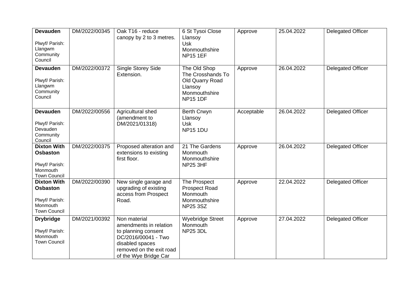| <b>Devauden</b><br>Plwyf/ Parish:<br>Llangwm<br>Community<br>Council                       | DM/2022/00345 | Oak T16 - reduce<br>canopy by 2 to 3 metres.                                                                                                                 | 6 St Tysoi Close<br>Llansoy<br><b>Usk</b><br>Monmouthshire<br><b>NP15 1EF</b>                       | Approve    | 25.04.2022 | <b>Delegated Officer</b> |
|--------------------------------------------------------------------------------------------|---------------|--------------------------------------------------------------------------------------------------------------------------------------------------------------|-----------------------------------------------------------------------------------------------------|------------|------------|--------------------------|
| <b>Devauden</b><br>Plwyf/ Parish:<br>Llangwm<br>Community<br>Council                       | DM/2022/00372 | <b>Single Storey Side</b><br>Extension.                                                                                                                      | The Old Shop<br>The Crosshands To<br>Old Quarry Road<br>Llansoy<br>Monmouthshire<br><b>NP15 1DF</b> | Approve    | 26.04.2022 | <b>Delegated Officer</b> |
| <b>Devauden</b><br>Plwyf/ Parish:<br>Devauden<br>Community<br>Council                      | DM/2022/00556 | Agricultural shed<br>(amendment to<br>DM/2021/01318)                                                                                                         | <b>Berth Crwyn</b><br>Llansoy<br><b>Usk</b><br><b>NP15 1DU</b>                                      | Acceptable | 26.04.2022 | <b>Delegated Officer</b> |
| <b>Dixton With</b><br><b>Osbaston</b><br>Plwyf/ Parish:<br>Monmouth<br><b>Town Council</b> | DM/2022/00375 | Proposed alteration and<br>extensions to existing<br>first floor.                                                                                            | 21 The Gardens<br>Monmouth<br>Monmouthshire<br><b>NP25 3HF</b>                                      | Approve    | 26.04.2022 | Delegated Officer        |
| <b>Dixton With</b><br><b>Osbaston</b><br>Plwyf/ Parish:<br>Monmouth<br><b>Town Council</b> | DM/2022/00390 | New single garage and<br>upgrading of existing<br>access from Prospect<br>Road.                                                                              | The Prospect<br><b>Prospect Road</b><br>Monmouth<br>Monmouthshire<br><b>NP25 3SZ</b>                | Approve    | 22.04.2022 | Delegated Officer        |
| <b>Drybridge</b><br>Plwyf/ Parish:<br>Monmouth<br><b>Town Council</b>                      | DM/2021/00392 | Non material<br>amendments in relation<br>to planning consent<br>DC/2016/00041 - Two<br>disabled spaces<br>removed on the exit road<br>of the Wye Bridge Car | <b>Wyebridge Street</b><br>Monmouth<br><b>NP25 3DL</b>                                              | Approve    | 27.04.2022 | <b>Delegated Officer</b> |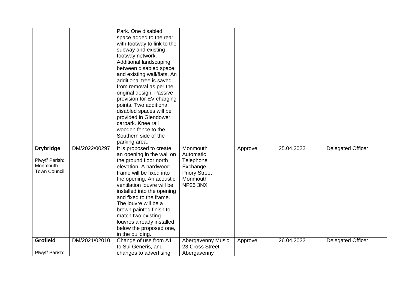| <b>Drybridge</b><br>Plwyf/ Parish: | DM/2022/00297 | Park. One disabled<br>space added to the rear<br>with footway to link to the<br>subway and existing<br>footway network.<br>Additional landscaping<br>between disabled space<br>and existing wall/flats. An<br>additional tree is saved<br>from removal as per the<br>original design. Passive<br>provision for EV charging<br>points. Two additional<br>disabled spaces will be<br>provided in Glendower<br>carpark. Knee rail<br>wooden fence to the<br>Southern side of the<br>parking area.<br>It is proposed to create<br>an opening in the wall on<br>the ground floor north | Monmouth<br>Automatic<br>Telephone   | Approve | 25.04.2022 | <b>Delegated Officer</b> |
|------------------------------------|---------------|-----------------------------------------------------------------------------------------------------------------------------------------------------------------------------------------------------------------------------------------------------------------------------------------------------------------------------------------------------------------------------------------------------------------------------------------------------------------------------------------------------------------------------------------------------------------------------------|--------------------------------------|---------|------------|--------------------------|
| Monmouth                           |               | elevation. A hardwood                                                                                                                                                                                                                                                                                                                                                                                                                                                                                                                                                             | Exchange                             |         |            |                          |
| <b>Town Council</b>                |               | frame will be fixed into                                                                                                                                                                                                                                                                                                                                                                                                                                                                                                                                                          | <b>Priory Street</b>                 |         |            |                          |
|                                    |               | the opening. An acoustic                                                                                                                                                                                                                                                                                                                                                                                                                                                                                                                                                          | Monmouth                             |         |            |                          |
|                                    |               | ventilation louvre will be<br>installed into the opening                                                                                                                                                                                                                                                                                                                                                                                                                                                                                                                          | <b>NP25 3NX</b>                      |         |            |                          |
|                                    |               | and fixed to the frame.                                                                                                                                                                                                                                                                                                                                                                                                                                                                                                                                                           |                                      |         |            |                          |
|                                    |               | The louvre will be a                                                                                                                                                                                                                                                                                                                                                                                                                                                                                                                                                              |                                      |         |            |                          |
|                                    |               | brown painted finish to                                                                                                                                                                                                                                                                                                                                                                                                                                                                                                                                                           |                                      |         |            |                          |
|                                    |               | match two existing                                                                                                                                                                                                                                                                                                                                                                                                                                                                                                                                                                |                                      |         |            |                          |
|                                    |               | louvres already installed                                                                                                                                                                                                                                                                                                                                                                                                                                                                                                                                                         |                                      |         |            |                          |
|                                    |               | below the proposed one,                                                                                                                                                                                                                                                                                                                                                                                                                                                                                                                                                           |                                      |         |            |                          |
|                                    |               | in the building.                                                                                                                                                                                                                                                                                                                                                                                                                                                                                                                                                                  |                                      |         |            |                          |
| Grofield                           | DM/2021/02010 | Change of use from A1                                                                                                                                                                                                                                                                                                                                                                                                                                                                                                                                                             | Abergavenny Music<br>23 Cross Street | Approve | 26.04.2022 | <b>Delegated Officer</b> |
|                                    |               |                                                                                                                                                                                                                                                                                                                                                                                                                                                                                                                                                                                   |                                      |         |            |                          |
| Plwyf/ Parish:                     |               | to Sui Generis, and<br>changes to advertising                                                                                                                                                                                                                                                                                                                                                                                                                                                                                                                                     | Abergavenny                          |         |            |                          |